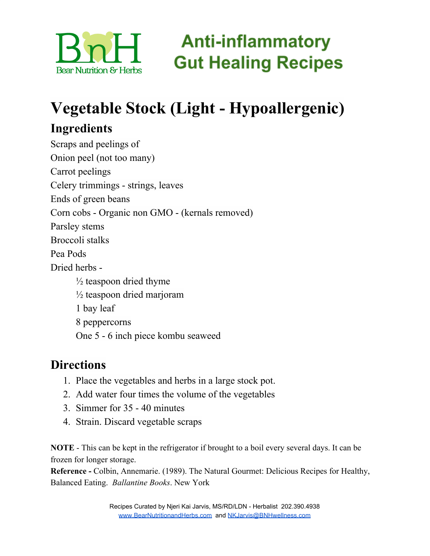

# **Vegetable Stock (Light - Hypoallergenic)**

## **Ingredients**

Scraps and peelings of Onion peel (not too many) Carrot peelings Celery trimmings - strings, leaves Ends of green beans Corn cobs - Organic non GMO - (kernals removed) Parsley stems Broccoli stalks Pea Pods Dried herbs -  $\frac{1}{2}$  teaspoon dried thyme  $\frac{1}{2}$  teaspoon dried marjoram 1 bay leaf 8 peppercorns One 5 - 6 inch piece kombu seaweed

### **Directions**

- 1. Place the vegetables and herbs in a large stock pot.
- 2. Add water four times the volume of the vegetables
- 3. Simmer for 35 40 minutes
- 4. Strain. Discard vegetable scraps

**NOTE** - This can be kept in the refrigerator if brought to a boil every several days. It can be frozen for longer storage.

**Reference -** Colbin, Annemarie. (1989). The Natural Gourmet: Delicious Recipes for Healthy, Balanced Eating. *Ballantine Books*. New York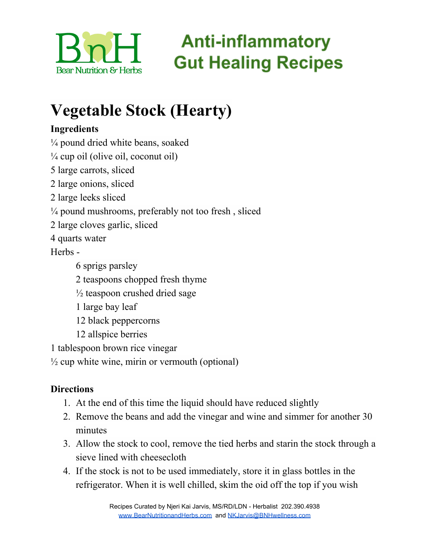

# **Anti-inflammatory Gut Healing Recipes**

## **Vegetable Stock (Hearty)**

### **Ingredients**

- $\frac{1}{4}$  pound dried white beans, soaked
- $\frac{1}{4}$  cup oil (olive oil, coconut oil)
- 5 large carrots, sliced
- 2 large onions, sliced
- 2 large leeks sliced
- <sup>1/4</sup> pound mushrooms, preferably not too fresh, sliced
- 2 large cloves garlic, sliced
- 4 quarts water

Herbs -

- 6 sprigs parsley
- 2 teaspoons chopped fresh thyme
- $\frac{1}{2}$  teaspoon crushed dried sage
- 1 large bay leaf
- 12 black peppercorns
- 12 allspice berries
- 1 tablespoon brown rice vinegar
- $\frac{1}{2}$  cup white wine, mirin or vermouth (optional)

### **Directions**

- 1. At the end of this time the liquid should have reduced slightly
- 2. Remove the beans and add the vinegar and wine and simmer for another 30 minutes
- 3. Allow the stock to cool, remove the tied herbs and starin the stock through a sieve lined with cheesecloth
- 4. If the stock is not to be used immediately, store it in glass bottles in the refrigerator. When it is well chilled, skim the oid off the top if you wish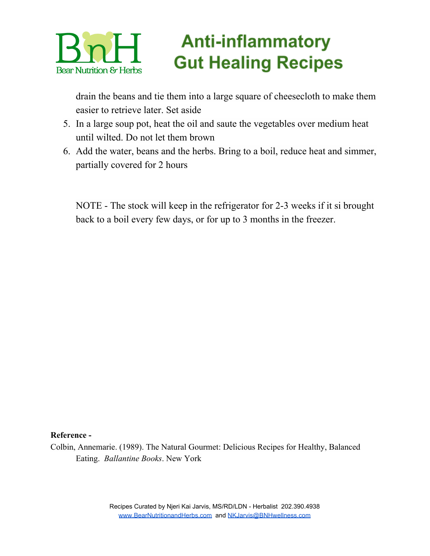### **Anti-inflammatory Gut Healing Recipes Bear Nutrition & Herbs**

drain the beans and tie them into a large square of cheesecloth to make them easier to retrieve later. Set aside

- 5. In a large soup pot, heat the oil and saute the vegetables over medium heat until wilted. Do not let them brown
- 6. Add the water, beans and the herbs. Bring to a boil, reduce heat and simmer, partially covered for 2 hours

NOTE - The stock will keep in the refrigerator for 2-3 weeks if it si brought back to a boil every few days, or for up to 3 months in the freezer.

#### **Reference -**

Colbin, Annemarie. (1989). The Natural Gourmet: Delicious Recipes for Healthy, Balanced Eating. *Ballantine Books*. New York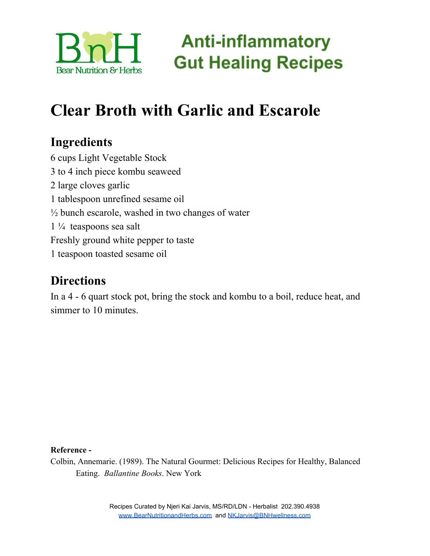

## **Clear Broth with Garlic and Escarole**

### **Ingredients**

 cups Light Vegetable Stock to 4 inch piece kombu seaweed large cloves garlic tablespoon unrefined sesame oil  $\frac{1}{2}$  bunch escarole, washed in two changes of water  $1\frac{1}{4}$  teaspoons sea salt Freshly ground white pepper to taste teaspoon toasted sesame oil

### **Directions**

In a 4 - 6 quart stock pot, bring the stock and kombu to a boil, reduce heat, and simmer to 10 minutes.

#### **Reference -**

Colbin, Annemarie. (1989). The Natural Gourmet: Delicious Recipes for Healthy, Balanced Eating. *Ballantine Books*. New York